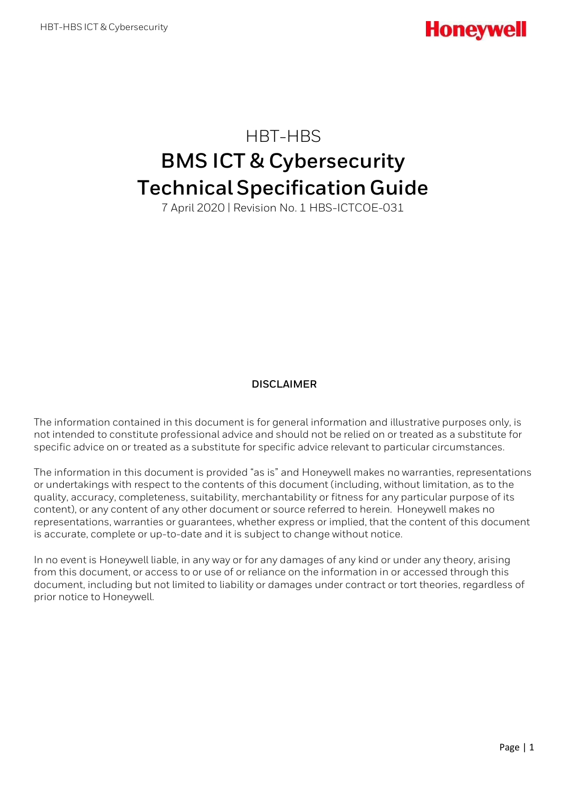HBT-HBS

# **BMS ICT & Cybersecurity Technical Specification Guide**

7 April 2020 | Revision No. 1 HBS-ICTCOE-031

### **DISCLAIMER**

The information contained in this document is for general information and illustrative purposes only, is not intended to constitute professional advice and should not be relied on or treated as a substitute for specific advice on or treated as a substitute for specific advice relevant to particular circumstances.

The information in this document is provided "as is" and Honeywell makes no warranties, representations or undertakings with respect to the contents of this document (including, without limitation, as to the quality, accuracy, completeness, suitability, merchantability or fitness for any particular purpose of its content), or any content of any other document or source referred to herein. Honeywell makes no representations, warranties or guarantees, whether express or implied, that the content of this document is accurate, complete or up-to-date and it is subject to change without notice.

In no event is Honeywell liable, in any way or for any damages of any kind or under any theory, arising from this document, or access to or use of or reliance on the information in or accessed through this document, including but not limited to liability or damages under contract or tort theories, regardless of prior notice to Honeywell.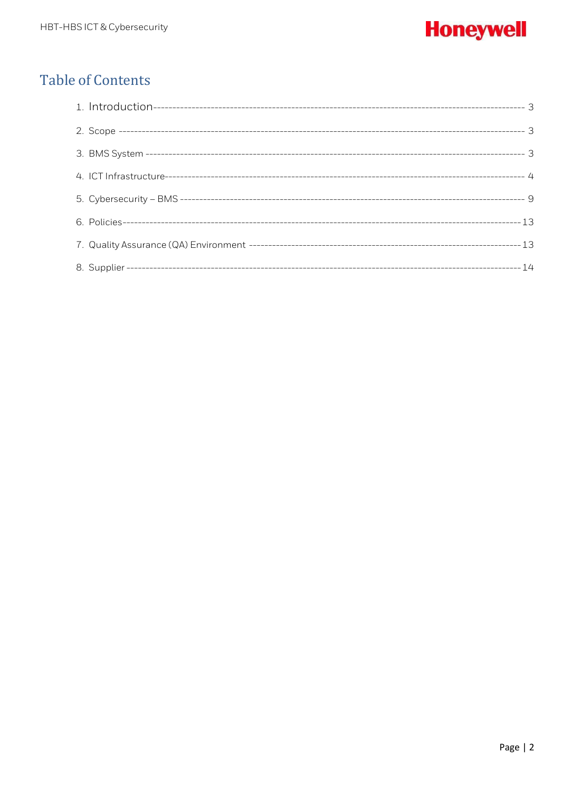# **Honeywell**

# **Table of Contents**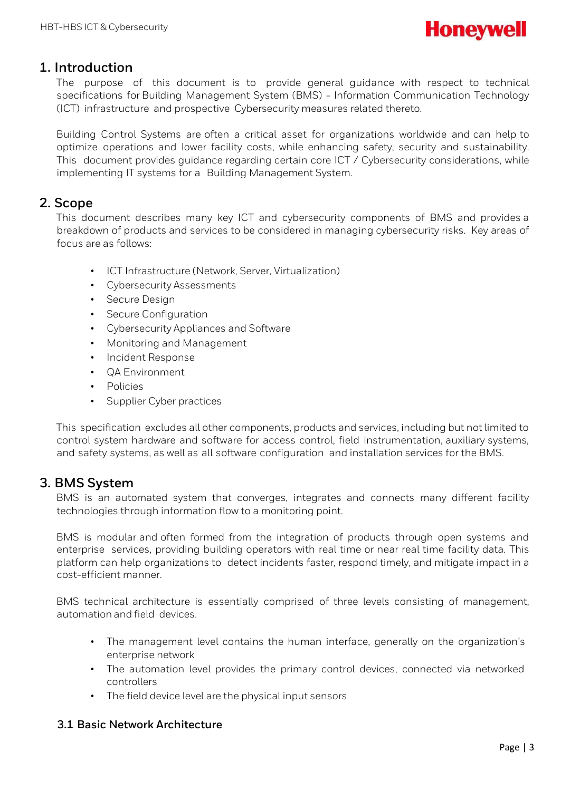

# <span id="page-2-0"></span>**1. Introduction**

The purpose of this document is to provide general guidance with respect to technical specifications for Building Management System (BMS) - Information Communication Technology (ICT) infrastructure and prospective Cybersecurity measures related thereto.

Building Control Systems are often a critical asset for organizations worldwide and can help to optimize operations and lower facility costs, while enhancing safety, security and sustainability. This document provides guidance regarding certain core ICT / Cybersecurity considerations, while implementing IT systems for a Building Management System.

# <span id="page-2-1"></span>**2. Scope**

This document describes many key ICT and cybersecurity components of BMS and provides a breakdown of products and services to be considered in managing cybersecurity risks. Key areas of focus are as follows:

- ICT Infrastructure (Network, Server, Virtualization)
- Cybersecurity Assessments
- Secure Design
- Secure Configuration
- Cybersecurity Appliances and Software
- Monitoring and Management
- Incident Response
- QA Environment
- Policies
- Supplier Cyber practices

This specification excludes all other components, products and services, including but not limited to control system hardware and software for access control, field instrumentation, auxiliary systems, and safety systems, as well as all software configuration and installation services for the BMS.

# <span id="page-2-2"></span>**3. BMS System**

BMS is an automated system that converges, integrates and connects many different facility technologies through information flow to a monitoring point.

BMS is modular and often formed from the integration of products through open systems and enterprise services, providing building operators with real time or near real time facility data. This platform can help organizations to detect incidents faster, respond timely, and mitigate impact in a cost-efficient manner.

BMS technical architecture is essentially comprised of three levels consisting of management, automation and field devices.

- The management level contains the human interface, generally on the organization's enterprise network
- The automation level provides the primary control devices, connected via networked controllers
- The field device level are the physical input sensors

### **3.1 Basic Network Architecture**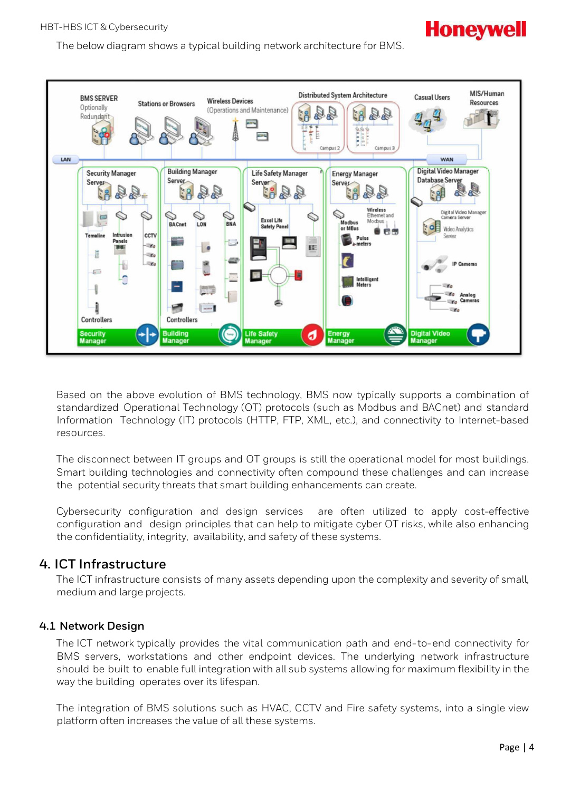The below diagram shows a typical building network architecture for BMS.

#### MIS/Human **Distributed System Architecture BMS SERVER Casual Users Wireless Devices Stations or Browsers Resources** Optionally (Operations and Maintenance) ac<br>2. 骨甲 a. R. Šβ. Redundant Üî  $rac{6}{111100}$ E Campus<sub>2</sub> Campus 3 LAN **WAN Digital Video Manager Building Manager Life Safety Manager Security Manager Energy Manager** Database Server Server Server Server Server  $y \cdot$ **Wireless** Digital Video Manage  $\mathbb{O}$ era Serve **College Excel Life** Modbus **BACnet BNA** Modbus LON ۱ty or MRus Video Analytics **SCS** ccrv **Temaline** Center Pulse<br>meters Panels تسأ .<br>To l. KD. lī æ. **ARS**  $\mathbb{R}$ IP ŧ  $\sqrt{2}$  $\overline{\phantom{a}}$ Intelligent<br>Meters ۱¥۵ ł ್ಯ  $\mathcal{L}$ ì 凾 a. **Controllers Controllers** Security<br>Manager đ Energy<br>Manage Digital Manage

Based on the above evolution of BMS technology, BMS now typically supports a combination of standardized Operational Technology (OT) protocols (such as Modbus and BACnet) and standard Information Technology (IT) protocols (HTTP, FTP, XML, etc.), and connectivity to Internet-based resources.

The disconnect between IT groups and OT groups is still the operational model for most buildings. Smart building technologies and connectivity often compound these challenges and can increase the potential security threats that smart building enhancements can create.

Cybersecurity configuration and design services are often utilized to apply cost-effective configuration and design principles that can help to mitigate cyber OT risks, while also enhancing the confidentiality, integrity, availability, and safety of these systems.

# <span id="page-3-0"></span>**4. ICT Infrastructure**

The ICT infrastructure consists of many assets depending upon the complexity and severity of small, medium and large projects.

# **4.1 Network Design**

The ICT network typically provides the vital communication path and end-to-end connectivity for BMS servers, workstations and other endpoint devices. The underlying network infrastructure should be built to enable full integration with all sub systems allowing for maximum flexibility in the way the building operates over its lifespan.

The integration of BMS solutions such as HVAC, CCTV and Fire safety systems, into a single view platform often increases the value of all these systems.

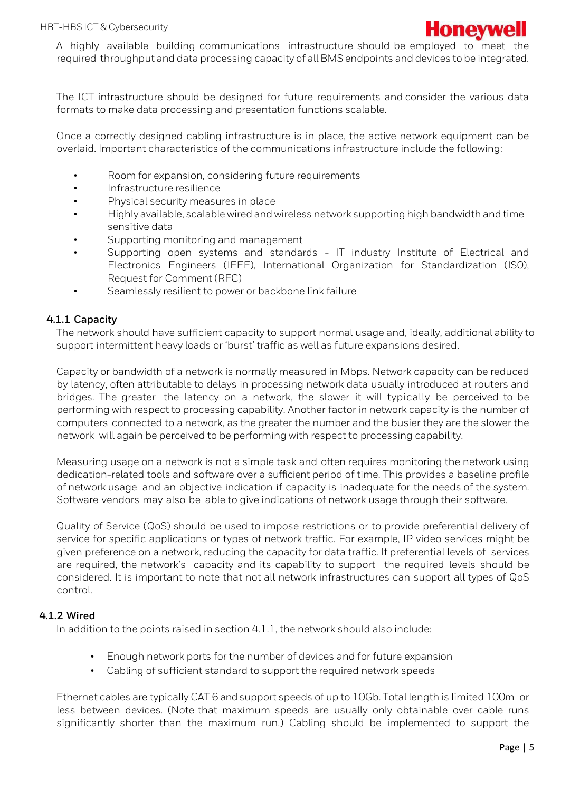

A highly available building communications infrastructure should be employed to meet the required throughput and data processing capacity of all BMS endpoints and devices to be integrated.

The ICT infrastructure should be designed for future requirements and consider the various data formats to make data processing and presentation functions scalable.

Once a correctly designed cabling infrastructure is in place, the active network equipment can be overlaid. Important characteristics of the communications infrastructure include the following:

- Room for expansion, considering future requirements
- Infrastructure resilience
- Physical security measures in place
- Highly available, scalable wired and wireless network supporting high bandwidth and time sensitive data
- Supporting monitoring and management
- Supporting open systems and standards IT industry Institute of Electrical and Electronics Engineers (IEEE), International Organization for Standardization (IS0), Request for Comment (RFC)
- Seamlessly resilient to power or backbone link failure

#### **4.1.1 Capacity**

The network should have sufficient capacity to support normal usage and, ideally, additional ability to support intermittent heavy loads or 'burst' traffic as well as future expansions desired.

Capacity or bandwidth of a network is normally measured in Mbps. Network capacity can be reduced by latency, often attributable to delays in processing network data usually introduced at routers and bridges. The greater the latency on a network, the slower it will typically be perceived to be performing with respect to processing capability. Another factor in network capacity is the number of computers connected to a network, as the greater the number and the busier they are the slower the network will again be perceived to be performing with respect to processing capability.

Measuring usage on a network is not a simple task and often requires monitoring the network using dedication-related tools and software over a sufficient period of time. This provides a baseline profile of network usage and an objective indication if capacity is inadequate for the needs of the system. Software vendors may also be able to give indications of network usage through their software.

Quality of Service (QoS) should be used to impose restrictions or to provide preferential delivery of service for specific applications or types of network traffic. For example, IP video services might be given preference on a network, reducing the capacity for data traffic. If preferential levels of services are required, the network's capacity and its capability to support the required levels should be considered. It is important to note that not all network infrastructures can support all types of QoS control.

#### **4.1.2 Wired**

In addition to the points raised in section 4.1.1, the network should also include:

- Enough network ports for the number of devices and for future expansion
- Cabling of sufficient standard to support the required network speeds

Ethernet cables are typically CAT 6 and support speeds of up to 10Gb. Total length is limited 100m or less between devices. (Note that maximum speeds are usually only obtainable over cable runs significantly shorter than the maximum run.) Cabling should be implemented to support the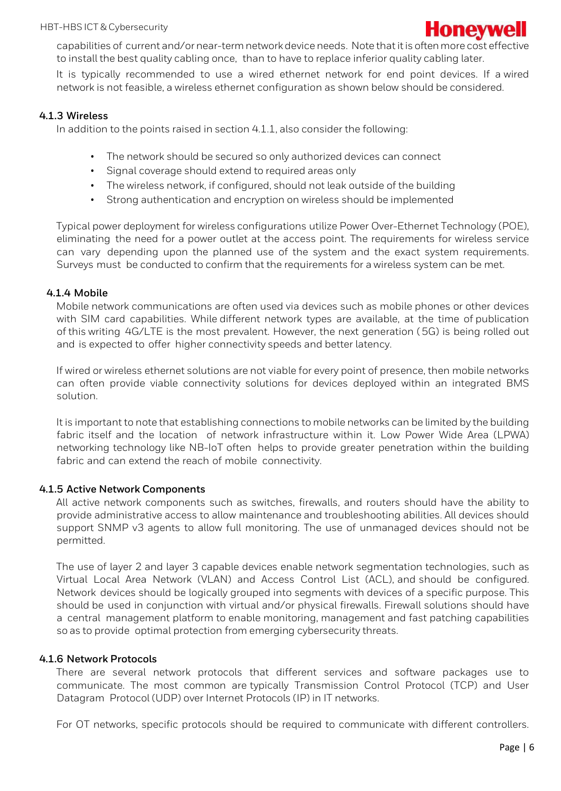

capabilities of current and/or near-termnetworkdevice needs. Note that itis often more cost effective to install the best quality cabling once, than to have to replace inferior quality cabling later.

It is typically recommended to use a wired ethernet network for end point devices. If a wired network is not feasible, a wireless ethernet configuration as shown below should be considered.

#### **4.1.3 Wireless**

In addition to the points raised in section 4.1.1, also consider the following:

- The network should be secured so only authorized devices can connect
- Signal coverage should extend to required areas only
- The wireless network, if configured, should not leak outside of the building
- Strong authentication and encryption on wireless should be implemented

Typical power deployment for wireless configurations utilize Power Over-Ethernet Technology (POE), eliminating the need for a power outlet at the access point. The requirements for wireless service can vary depending upon the planned use of the system and the exact system requirements. Surveys must be conducted to confirm that the requirements for a wireless system can be met.

#### **4.1.4 Mobile**

Mobile network communications are often used via devices such as mobile phones or other devices with SIM card capabilities. While different network types are available, at the time of publication of this writing 4G/LTE is the most prevalent. However, the next generation (5G) is being rolled out and is expected to offer higher connectivity speeds and better latency.

If wired or wireless ethernet solutions are not viable for every point of presence, then mobile networks can often provide viable connectivity solutions for devices deployed within an integrated BMS solution.

It is important to note that establishing connections to mobile networks can be limited by the building fabric itself and the location of network infrastructure within it. Low Power Wide Area (LPWA) networking technology like NB-IoT often helps to provide greater penetration within the building fabric and can extend the reach of mobile connectivity.

#### **4.1.5 Active Network Components**

All active network components such as switches, firewalls, and routers should have the ability to provide administrative access to allow maintenance and troubleshooting abilities. All devices should support SNMP v3 agents to allow full monitoring. The use of unmanaged devices should not be permitted.

The use of layer 2 and layer 3 capable devices enable network segmentation technologies, such as Virtual Local Area Network (VLAN) and Access Control List (ACL), and should be configured. Network devices should be logically grouped into segments with devices of a specific purpose. This should be used in conjunction with virtual and/or physical firewalls. Firewall solutions should have a central management platform to enable monitoring, management and fast patching capabilities so as to provide optimal protection from emerging cybersecurity threats.

#### **4.1.6 Network Protocols**

There are several network protocols that different services and software packages use to communicate. The most common are typically Transmission Control Protocol (TCP) and User Datagram Protocol (UDP) over Internet Protocols (IP) in IT networks.

For OT networks, specific protocols should be required to communicate with different controllers.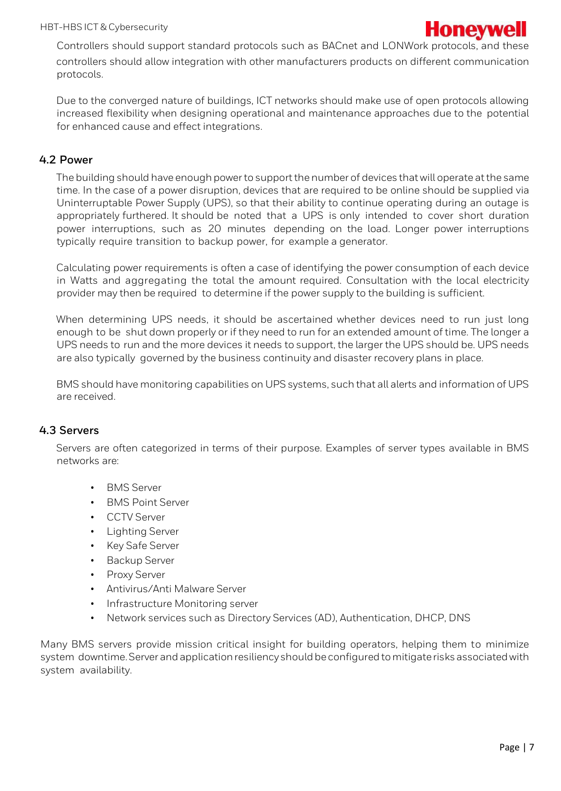

Controllers should support standard protocols such as BACnet and LONWork protocols, and these controllers should allow integration with other manufacturers products on different communication protocols.

Due to the converged nature of buildings, ICT networks should make use of open protocols allowing increased flexibility when designing operational and maintenance approaches due to the potential for enhanced cause and effect integrations.

#### **4.2 Power**

The building should have enough power to support the number of devices that will operate at the same time. In the case of a power disruption, devices that are required to be online should be supplied via Uninterruptable Power Supply (UPS), so that their ability to continue operating during an outage is appropriately furthered. It should be noted that a UPS is only intended to cover short duration power interruptions, such as 20 minutes depending on the load. Longer power interruptions typically require transition to backup power, for example a generator.

Calculating power requirements is often a case of identifying the power consumption of each device in Watts and aggregating the total the amount required. Consultation with the local electricity provider may then be required to determine if the power supply to the building is sufficient.

When determining UPS needs, it should be ascertained whether devices need to run just long enough to be shut down properly or if they need to run for an extended amount of time. The longer a UPS needs to run and the more devices it needs to support, the larger the UPS should be. UPS needs are also typically governed by the business continuity and disaster recovery plans in place.

BMS should have monitoring capabilities on UPS systems, such that all alerts and information of UPS are received.

#### **4.3 Servers**

Servers are often categorized in terms of their purpose. Examples of server types available in BMS networks are:

- BMS Server
- BMS Point Server
- CCTV Server
- Lighting Server
- Key Safe Server
- Backup Server
- Proxy Server
- Antivirus/Anti Malware Server
- Infrastructure Monitoring server
- Network services such as Directory Services (AD), Authentication, DHCP, DNS

Many BMS servers provide mission critical insight for building operators, helping them to minimize system downtime. Server and application resiliency should be configured to mitigate risks associated with system availability.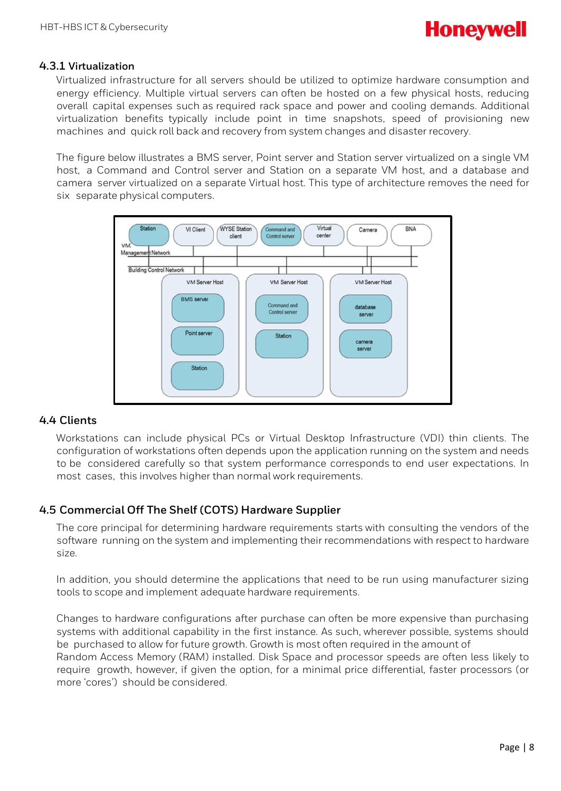

#### **4.3.1 Virtualization**

Virtualized infrastructure for all servers should be utilized to optimize hardware consumption and energy efficiency. Multiple virtual servers can often be hosted on a few physical hosts, reducing overall capital expenses such as required rack space and power and cooling demands. Additional virtualization benefits typically include point in time snapshots, speed of provisioning new machines and quick roll back and recovery from system changes and disaster recovery.

The figure below illustrates a BMS server, Point server and Station server virtualized on a single VM host, a Command and Control server and Station on a separate VM host, and a database and camera server virtualized on a separate Virtual host. This type of architecture removes the need for six separate physical computers.



#### **4.4 Clients**

Workstations can include physical PCs or Virtual Desktop Infrastructure (VDI) thin clients. The configuration of workstations often depends upon the application running on the system and needs to be considered carefully so that system performance corresponds to end user expectations. In most cases, this involves higher than normal work requirements.

# **4.5 Commercial Off The Shelf (COTS) Hardware Supplier**

The core principal for determining hardware requirements starts with consulting the vendors of the software running on the system and implementing their recommendations with respect to hardware size.

In addition, you should determine the applications that need to be run using manufacturer sizing tools to scope and implement adequate hardware requirements.

Changes to hardware configurations after purchase can often be more expensive than purchasing systems with additional capability in the first instance. As such, wherever possible, systems should be purchased to allow for future growth. Growth is most often required in the amount of Random Access Memory (RAM) installed. Disk Space and processor speeds are often less likely to require growth, however, if given the option, for a minimal price differential, faster processors (or more 'cores') should be considered.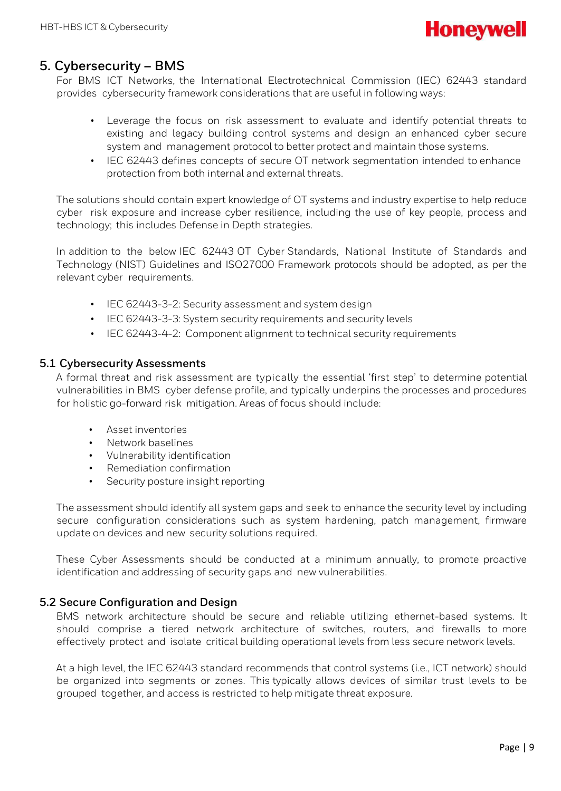

# <span id="page-8-0"></span>**5. Cybersecurity – BMS**

For BMS ICT Networks, the International Electrotechnical Commission (IEC) 62443 standard provides cybersecurity framework considerations that are useful in following ways:

- Leverage the focus on risk assessment to evaluate and identify potential threats to existing and legacy building control systems and design an enhanced cyber secure system and management protocol to better protect and maintain those systems.
- IEC 62443 defines concepts of secure OT network segmentation intended to enhance protection from both internal and external threats.

The solutions should contain expert knowledge of OT systems and industry expertise to help reduce cyber risk exposure and increase cyber resilience, including the use of key people, process and technology; this includes Defense in Depth strategies.

In addition to the below IEC 62443 OT Cyber Standards, National Institute of Standards and Technology (NIST) Guidelines and ISO27000 Framework protocols should be adopted, as per the relevant cyber requirements.

- IEC 62443-3-2: Security assessment and system design
- IEC 62443-3-3: System security requirements and security levels
- IEC 62443-4-2: Component alignment to technical security requirements

#### **5.1 Cybersecurity Assessments**

A formal threat and risk assessment are typically the essential 'first step' to determine potential vulnerabilities in BMS cyber defense profile, and typically underpins the processes and procedures for holistic go-forward risk mitigation. Areas of focus should include:

- Asset inventories
- Network baselines
- Vulnerability identification
- Remediation confirmation
- Security posture insight reporting

The assessment should identify all system gaps and seek to enhance the security level by including secure configuration considerations such as system hardening, patch management, firmware update on devices and new security solutions required.

These Cyber Assessments should be conducted at a minimum annually, to promote proactive identification and addressing of security gaps and new vulnerabilities.

#### **5.2 Secure Configuration and Design**

BMS network architecture should be secure and reliable utilizing ethernet-based systems. It should comprise a tiered network architecture of switches, routers, and firewalls to more effectively protect and isolate critical building operational levels from less secure network levels.

At a high level, the IEC 62443 standard recommends that control systems (i.e., ICT network) should be organized into segments or zones. This typically allows devices of similar trust levels to be grouped together, and access is restricted to help mitigate threat exposure.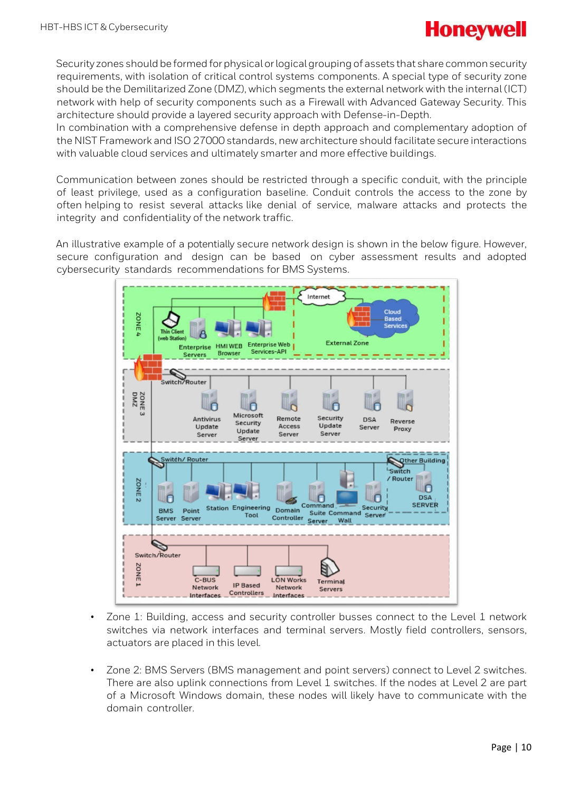

Security zones should be formed for physical or logical grouping of assets that share common security requirements, with isolation of critical control systems components. A special type of security zone should be the Demilitarized Zone (DMZ), which segments the external network with the internal (ICT) network with help of security components such as a Firewall with Advanced Gateway Security. This architecture should provide a layered security approach with Defense-in-Depth.

In combination with a comprehensive defense in depth approach and complementary adoption of the NIST Framework and ISO 27000 standards, new architecture should facilitate secure interactions with valuable cloud services and ultimately smarter and more effective buildings.

Communication between zones should be restricted through a specific conduit, with the principle of least privilege, used as a configuration baseline. Conduit controls the access to the zone by often helping to resist several attacks like denial of service, malware attacks and protects the integrity and confidentiality of the network traffic.

An illustrative example of a potentially secure network design is shown in the below figure. However, secure configuration and design can be based on cyber assessment results and adopted cybersecurity standards recommendations for BMS Systems.



- Zone 1: Building, access and security controller busses connect to the Level 1 network switches via network interfaces and terminal servers. Mostly field controllers, sensors, actuators are placed in this level.
- Zone 2: BMS Servers (BMS management and point servers) connect to Level 2 switches. There are also uplink connections from Level 1 switches. If the nodes at Level 2 are part of a Microsoft Windows domain, these nodes will likely have to communicate with the domain controller.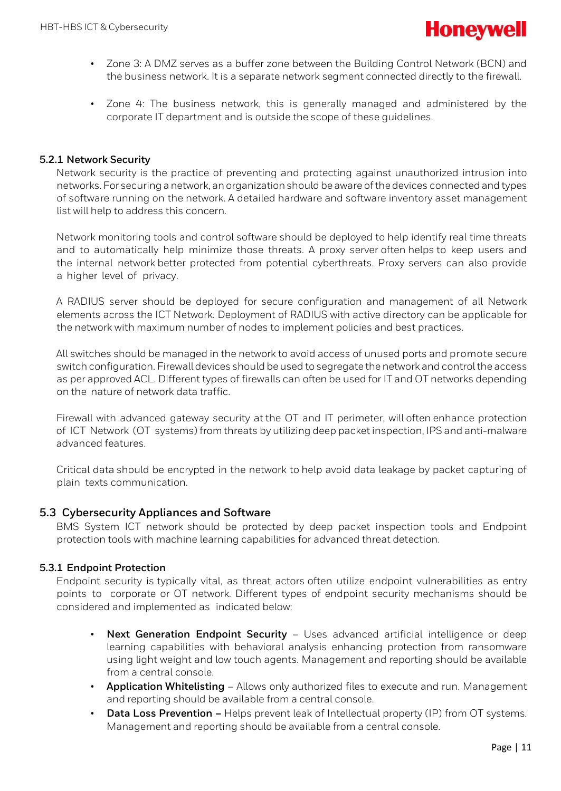

- Zone 3: A DMZ serves as a buffer zone between the Building Control Network (BCN) and the business network. It is a separate network segment connected directly to the firewall.
- Zone 4: The business network, this is generally managed and administered by the corporate IT department and is outside the scope of these guidelines.

#### **5.2.1 Network Security**

Network security is the practice of preventing and protecting against unauthorized intrusion into networks. For securing a network, an organization should be aware of the devices connected and types of software running on the network. A detailed hardware and software inventory asset management list will help to address this concern.

Network monitoring tools and control software should be deployed to help identify real time threats and to automatically help minimize those threats. A proxy server often helps to keep users and the internal network better protected from potential cyberthreats. Proxy servers can also provide a higher level of privacy.

A RADIUS server should be deployed for secure configuration and management of all Network elements across the ICT Network. Deployment of RADIUS with active directory can be applicable for the network with maximum number of nodes to implement policies and best practices.

All switches should be managed in the network to avoid access of unused ports and promote secure switch configuration. Firewall devices should be used to segregate the network and control the access as per approved ACL. Different types of firewalls can often be used for IT and OT networks depending on the nature of network data traffic.

Firewall with advanced gateway security at the OT and IT perimeter, will often enhance protection of ICT Network (OT systems) from threats by utilizing deep packet inspection, IPS and anti-malware advanced features.

Critical data should be encrypted in the network to help avoid data leakage by packet capturing of plain texts communication.

#### **5.3 Cybersecurity Appliances and Software**

BMS System ICT network should be protected by deep packet inspection tools and Endpoint protection tools with machine learning capabilities for advanced threat detection.

#### **5.3.1 Endpoint Protection**

Endpoint security is typically vital, as threat actors often utilize endpoint vulnerabilities as entry points to corporate or OT network. Different types of endpoint security mechanisms should be considered and implemented as indicated below:

- **Next Generation Endpoint Security** Uses advanced artificial intelligence or deep learning capabilities with behavioral analysis enhancing protection from ransomware using light weight and low touch agents. Management and reporting should be available from a central console.
- **Application Whitelisting** Allows only authorized files to execute and run. Management and reporting should be available from a central console.
- **Data Loss Prevention –** Helps prevent leak of Intellectual property (IP) from OT systems. Management and reporting should be available from a central console.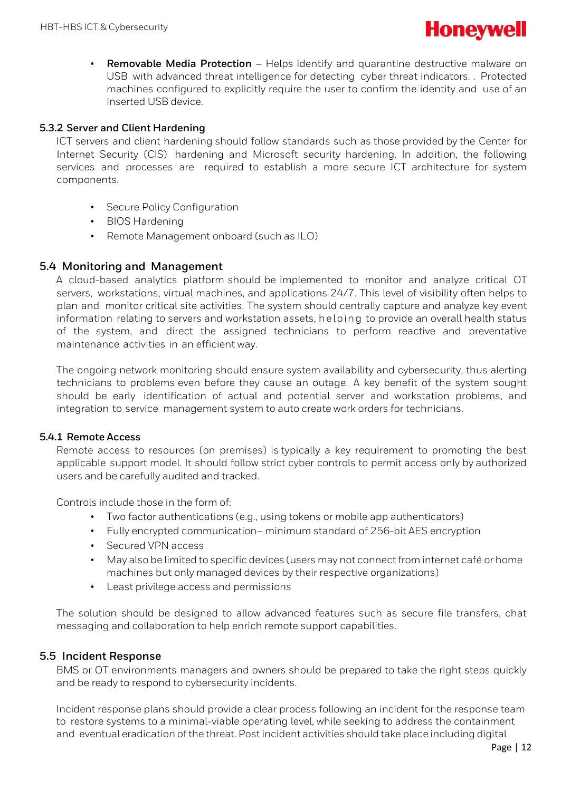

• **Removable Media Protection** – Helps identify and quarantine destructive malware on USB with advanced threat intelligence for detecting cyber threat indicators. . Protected machines configured to explicitly require the user to confirm the identity and use of an inserted USB device.

#### **5.3.2 Server and Client Hardening**

ICT servers and client hardening should follow standards such as those provided by the Center for Internet Security (CIS) hardening and Microsoft security hardening. In addition, the following services and processes are required to establish a more secure ICT architecture for system components.

- Secure Policy Configuration
- BIOS Hardening
- Remote Management onboard (such as ILO)

#### **5.4 Monitoring and Management**

A cloud-based analytics platform should be implemented to monitor and analyze critical OT servers, workstations, virtual machines, and applications 24/7. This level of visibility often helps to plan and monitor critical site activities. The system should centrally capture and analyze key event information relating to servers and workstation assets, helping to provide an overall health status of the system, and direct the assigned technicians to perform reactive and preventative maintenance activities in an efficient way.

The ongoing network monitoring should ensure system availability and cybersecurity, thus alerting technicians to problems even before they cause an outage. A key benefit of the system sought should be early identification of actual and potential server and workstation problems, and integration to service management system to auto create work orders for technicians.

#### **5.4.1 Remote Access**

Remote access to resources (on premises) is typically a key requirement to promoting the best applicable support model. It should follow strict cyber controls to permit access only by authorized users and be carefully audited and tracked.

Controls include those in the form of:

- Two factor authentications (e.g., using tokens or mobile app authenticators)
- Fully encrypted communication– minimum standard of 256-bit AES encryption
- Secured VPN access
- May also be limited to specific devices (users may not connect from internet café or home machines but only managed devices by their respective organizations)
- Least privilege access and permissions

The solution should be designed to allow advanced features such as secure file transfers, chat messaging and collaboration to help enrich remote support capabilities.

#### **5.5 Incident Response**

BMS or OT environments managers and owners should be prepared to take the right steps quickly and be ready to respond to cybersecurity incidents.

Incident response plans should provide a clear process following an incident for the response team to restore systems to a minimal-viable operating level, while seeking to address the containment and eventual eradication of the threat. Post incident activities should take place including digital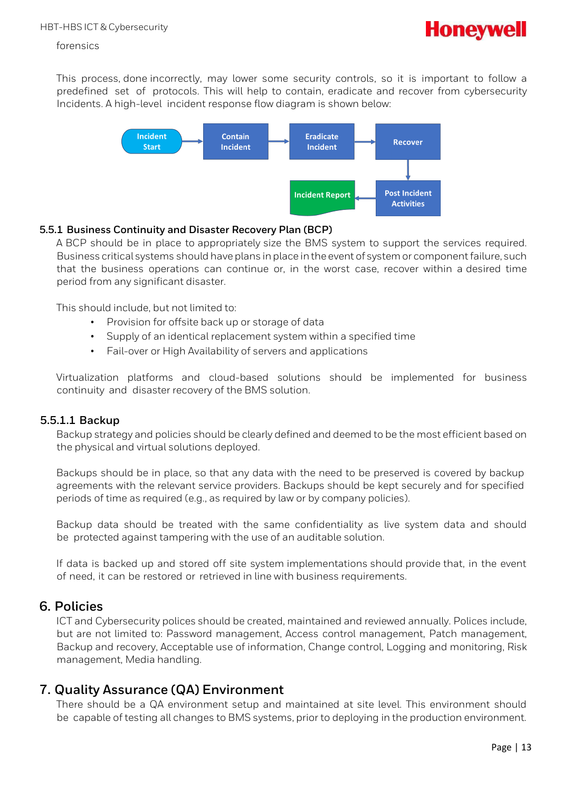

#### forensics

This process, done incorrectly, may lower some security controls, so it is important to follow a predefined set of protocols. This will help to contain, eradicate and recover from cybersecurity Incidents. A high-level incident response flow diagram is shown below:



#### **5.5.1 Business Continuity and Disaster Recovery Plan (BCP)**

A BCP should be in place to appropriately size the BMS system to support the services required. Business critical systems should have plans in place in the event of system or component failure, such that the business operations can continue or, in the worst case, recover within a desired time period from any significant disaster.

This should include, but not limited to:

- Provision for offsite back up or storage of data
- Supply of an identical replacement system within a specified time
- Fail-over or High Availability of servers and applications

Virtualization platforms and cloud-based solutions should be implemented for business continuity and disaster recovery of the BMS solution.

#### **5.5.1.1 Backup**

Backup strategy and policies should be clearly defined and deemed to be the most efficient based on the physical and virtual solutions deployed.

Backups should be in place, so that any data with the need to be preserved is covered by backup agreements with the relevant service providers. Backups should be kept securely and for specified periods of time as required (e.g., as required by law or by company policies).

Backup data should be treated with the same confidentiality as live system data and should be protected against tampering with the use of an auditable solution.

If data is backed up and stored off site system implementations should provide that, in the event of need, it can be restored or retrieved in line with business requirements.

# <span id="page-12-0"></span>**6. Policies**

ICT and Cybersecurity polices should be created, maintained and reviewed annually. Polices include, but are not limited to: Password management, Access control management, Patch management, Backup and recovery, Acceptable use of information, Change control, Logging and monitoring, Risk management, Media handling.

# <span id="page-12-1"></span>**7. Quality Assurance (QA) Environment**

There should be a QA environment setup and maintained at site level. This environment should be capable of testing all changes to BMS systems, prior to deploying in the production environment.